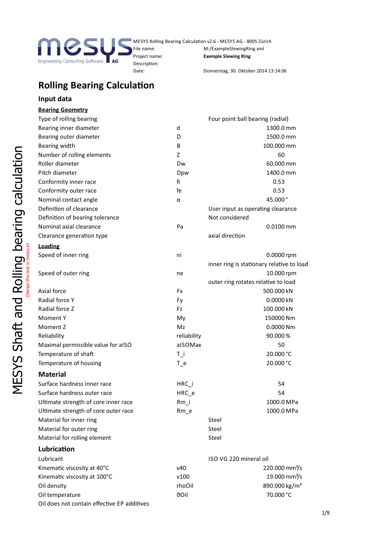

Description:

MESYS Rolling Bearing Calculation v2.6 - MESYS AG - 8005 Zürich File name: M:/ExampleSlewingRing.xml Project name: **Exemple Slewing Ring**

Date: Donnerstag, 30. Oktober 2014 13:14:06

# **Rolling Bearing Calculation**

### **Input data**

## **Bearing Geometry**

|                                        | Type of rolling bearing                     |             | Four point ball bearing (radial)          |
|----------------------------------------|---------------------------------------------|-------------|-------------------------------------------|
|                                        | Bearing inner diameter                      | d           | 1300.0 mm                                 |
|                                        | Bearing outer diameter                      | D           | 1500.0 mm                                 |
|                                        | Bearing width                               | В           | 100.000 mm                                |
| calculation                            | Number of rolling elements                  | Z           | 60                                        |
|                                        | Roller diameter                             | Dw          | 60.000 mm                                 |
|                                        | Pitch diameter                              | Dpw         | 1400.0 mm                                 |
|                                        | Conformity inner race                       | fi          | 0.53                                      |
|                                        | Conformity outer race                       | fe          | 0.53                                      |
|                                        | Nominal contact angle                       | α           | 45.000°                                   |
|                                        | Definition of clearance                     |             | User input as operating clearance         |
|                                        | Definition of bearing tolerance             |             | Not considered                            |
|                                        | Nominal axial clearance                     | Pa          | $0.0100$ mm                               |
|                                        | Clearance generation type                   |             | axial direction                           |
|                                        | <b>Loading</b>                              |             |                                           |
|                                        | Speed of inner ring                         | ni          | 0.0000 rpm                                |
|                                        |                                             |             | inner ring is stationary relative to load |
|                                        | Speed of outer ring                         | ne          | 10.000 rpm                                |
|                                        |                                             |             | outer ring rotates relative to load       |
| Rolling bearing<br>Change this text in | Axial force                                 | Fx          | 500.000 kN                                |
|                                        | Radial force Y                              | Fy          | 0.0000 kN                                 |
| pue                                    | Radial force Z                              | Fz          | 100.000 kN                                |
|                                        | Moment Y                                    | My          | 150000 Nm                                 |
| Shaft                                  | Moment Z                                    | Mz          | 0.0000 Nm                                 |
|                                        | Reliability                                 | reliability | 90.000%                                   |
|                                        | Maximal permissible value for aISO          | alSOMax     | 50                                        |
|                                        | Temperature of shaft                        | $T_i$       | 20.000 °C                                 |
|                                        | Temperature of housing                      | $T_e$       | 20.000 °C                                 |
| <b>MESYS</b>                           | <b>Material</b>                             |             |                                           |
|                                        | Surface hardness inner race                 | HRC_i       | 54                                        |
|                                        | Surface hardness outer race                 | HRC_e       | 54                                        |
|                                        | Ultimate strength of core inner race        | $Rm_i$      | 1000.0 MPa                                |
|                                        | Ultimate strength of core outer race        | $Rm_e$      | 1000.0 MPa                                |
|                                        | Material for inner ring                     |             | Steel                                     |
|                                        | Material for outer ring                     |             | Steel                                     |
|                                        | Material for rolling element                |             | Steel                                     |
|                                        | Lubrication                                 |             |                                           |
|                                        | Lubricant                                   |             | ISO VG 220 mineral oil                    |
|                                        | Kinematic viscosity at 40°C                 | ν40         | 220.000 mm <sup>2</sup> /s                |
|                                        | Kinematic viscosity at 100°C                | v100        | 19.000 mm <sup>2</sup> /s                 |
|                                        | Oil density                                 | rhoOil      | 890.000 kg/m <sup>3</sup>                 |
|                                        | Oil temperature                             | <b>dOil</b> | 70.000 °C                                 |
|                                        | Oil does not contain effective EP additives |             |                                           |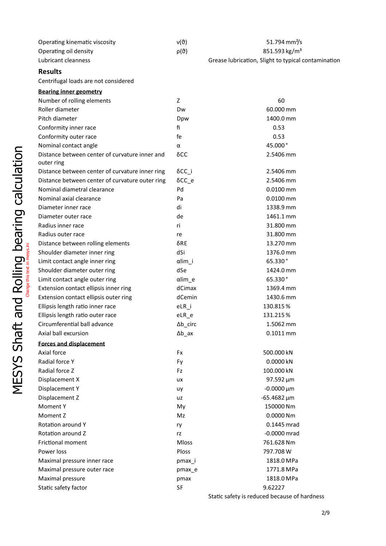| Operating kinematic viscosity | ν(ϑ)              | 51.794 mm <sup>2</sup> /s                           |  |
|-------------------------------|-------------------|-----------------------------------------------------|--|
| Operating oil density         | $\rho(\vartheta)$ | 851.593 kg/m <sup>3</sup>                           |  |
| Lubricant cleanness           |                   | Grease lubrication, Slight to typical contamination |  |

### **Results**

Centrifugal loads are not considered

|                             | <b>Bearing inner geometry</b>                                |                  |                                              |
|-----------------------------|--------------------------------------------------------------|------------------|----------------------------------------------|
|                             | Number of rolling elements                                   | Z                | 60                                           |
|                             | Roller diameter                                              | Dw               | 60.000 mm                                    |
|                             | Pitch diameter                                               | Dpw              | 1400.0 mm                                    |
|                             | Conformity inner race                                        | fi               | 0.53                                         |
|                             | Conformity outer race                                        | fe               | 0.53                                         |
|                             | Nominal contact angle                                        | $\alpha$         | 45.000°                                      |
| Rolling bearing calculation | Distance between center of curvature inner and<br>outer ring | $\delta CC$      | 2.5406 mm                                    |
|                             | Distance between center of curvature inner ring              | $\delta$ CC_i    | 2.5406 mm                                    |
|                             | Distance between center of curvature outer ring              | $\delta$ CC_e    | 2.5406 mm                                    |
|                             | Nominal diametral clearance                                  | Pd               | $0.0100$ mm                                  |
|                             | Nominal axial clearance                                      | Pa               | $0.0100$ mm                                  |
|                             | Diameter inner race                                          | di               | 1338.9 mm                                    |
|                             | Diameter outer race                                          | de               | 1461.1 mm                                    |
|                             | Radius inner race                                            | ri               | 31.800 mm                                    |
|                             | Radius outer race                                            | re               | 31.800 mm                                    |
|                             | Distance between rolling elements                            | $\delta$ RE      | 13.270 mm                                    |
|                             | Shoulder diameter inner ring                                 | dSi              | 1376.0 mm                                    |
|                             | Limit contact angle inner ring                               | $\alpha$ lim_i   | 65.330°                                      |
|                             | Shoulder diameter outer ring                                 | dSe              | 1424.0 mm                                    |
|                             | Limit contact angle outer ring                               | $\alpha$ lim_e   | 65.330°                                      |
|                             | Extension contact ellipsis inner ring                        | dCimax           | 1369.4 mm                                    |
|                             | Extension contact ellipsis outer ring                        | dCemin           | 1430.6 mm                                    |
| pue                         | Ellipsis length ratio inner race                             | $eLR_i$          | 130.815%                                     |
|                             | Ellipsis length ratio outer race                             | $eLR_e$          | 131.215%                                     |
|                             | Circumferential ball advance                                 | $\Delta b$ _circ | 1.5062 mm                                    |
|                             | Axial ball excursion                                         | $\Delta b\_ax$   | $0.1011$ mm                                  |
| <b>Shaft</b>                | <b>Forces and displacement</b>                               |                  |                                              |
|                             | Axial force                                                  | Fx               | 500.000 kN                                   |
|                             | Radial force Y                                               | Fy               | 0.0000 kN                                    |
| SYS                         | Radial force Z                                               | Fz               | 100.000 kN                                   |
|                             | Displacement X                                               | ux               | 97.592 µm                                    |
| Ξ<br>Σ                      | Displacement Y                                               | uy               | $-0.0000 \mu m$                              |
|                             | Displacement Z                                               | uz               | $-65.4682 \,\mu m$                           |
|                             | Moment Y                                                     | My               | 150000 Nm                                    |
|                             | Moment Z                                                     | Mz               | 0.0000 Nm                                    |
|                             | Rotation around Y                                            | ry               | 0.1445 mrad                                  |
|                             | Rotation around Z                                            | rz               | $-0.0000$ mrad                               |
|                             | <b>Frictional moment</b>                                     | <b>Mloss</b>     | 761.628 Nm                                   |
|                             | Power loss                                                   | Ploss            | 797.708 W                                    |
|                             | Maximal pressure inner race                                  | pmax_i           | 1818.0 MPa                                   |
|                             | Maximal pressure outer race                                  | pmax_e           | 1771.8 MPa                                   |
|                             | Maximal pressure                                             | pmax             | 1818.0 MPa                                   |
|                             | Static safety factor                                         | SF               | 9.62227                                      |
|                             |                                                              |                  | Static safety is reduced because of hardness |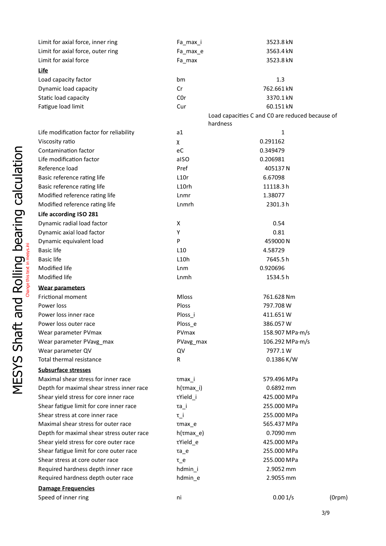|                                     | Limit for axial force, inner ring         | Fa_max_i           | 3523.8 kN                                       |              |
|-------------------------------------|-------------------------------------------|--------------------|-------------------------------------------------|--------------|
|                                     | Limit for axial force, outer ring         | Fa_max_e           | 3563.4 kN                                       |              |
|                                     | Limit for axial force                     | Fa_max             | 3523.8 kN                                       |              |
|                                     | Life                                      |                    |                                                 |              |
|                                     | Load capacity factor                      | bm                 | 1.3                                             |              |
|                                     | Dynamic load capacity                     | Cr                 | 762.661 kN                                      |              |
|                                     | Static load capacity                      | C <sub>O</sub> r   | 3370.1 kN                                       |              |
|                                     | Fatigue load limit                        | Cur                | 60.151 kN                                       |              |
|                                     |                                           |                    | Load capacities C and CO are reduced because of |              |
|                                     |                                           | hardness           |                                                 |              |
|                                     | Life modification factor for reliability  | a1                 | 1                                               |              |
|                                     | Viscosity ratio                           | χ                  | 0.291162                                        |              |
|                                     | Contamination factor                      | eC                 | 0.349479                                        |              |
|                                     | Life modification factor                  | alSO               | 0.206981                                        |              |
|                                     | Reference load                            | Pref               | 405137N                                         |              |
|                                     | Basic reference rating life               | L10r               | 6.67098                                         |              |
|                                     | Basic reference rating life               | L10rh              | 11118.3h                                        |              |
| calculation                         | Modified reference rating life            | Lnmr               | 1.38077                                         |              |
|                                     | Modified reference rating life            | Lnmrh              | 2301.3h                                         |              |
|                                     | Life according ISO 281                    |                    |                                                 |              |
|                                     | Dynamic radial load factor                | X                  | 0.54                                            |              |
|                                     | Dynamic axial load factor                 | Y                  | 0.81                                            |              |
|                                     | Dynamic equivalent load                   | P                  | 459000N                                         |              |
|                                     | <b>Basic life</b>                         | L10                | 4.58729                                         |              |
|                                     | <b>Basic life</b>                         | L10h               | 7645.5h                                         |              |
|                                     | Modified life                             | Lnm                | 0.920696                                        |              |
|                                     | Modified life                             | Lnmh               | 1534.5h                                         |              |
| Rolling bearing<br>Change this text | <b>Wear parameters</b>                    |                    |                                                 |              |
|                                     | Frictional moment                         | Mloss              | 761.628 Nm                                      |              |
| pue                                 | Power loss                                | Ploss              | 797.708 W                                       |              |
|                                     | Power loss inner race                     | Ploss_i            | 411.651W                                        |              |
| ص                                   | Power loss outer race                     | Ploss e            | 386.057W                                        |              |
|                                     | Wear parameter PVmax                      | PVmax              | 158.907 MPa·m/s                                 |              |
| is<br>Shā                           | Wear parameter PVavg max                  | PVavg_max          | 106.292 MPa·m/s                                 |              |
|                                     | Wear parameter QV                         | QV                 | 7977.1W                                         |              |
| MESYS                               | Total thermal resistance                  | R                  | 0.1386 K/W                                      |              |
|                                     | <b>Subsurface stresses</b>                |                    |                                                 |              |
|                                     | Maximal shear stress for inner race       | $\tau$ max $\mu$ i | 579.496 MPa                                     |              |
|                                     | Depth for maximal shear stress inner race | $h(\tau max_i)$    | 0.6892 mm                                       |              |
|                                     | Shear yield stress for core inner race    | τYield_i           | 425.000 MPa                                     |              |
|                                     | Shear fatigue limit for core inner race   | $\tau$ a_i         | 255.000 MPa                                     |              |
|                                     | Shear stress at core inner race           | $\tau_i$           | 255.000 MPa                                     |              |
|                                     | Maximal shear stress for outer race       | $rmax_e$           | 565.437 MPa                                     |              |
|                                     | Depth for maximal shear stress outer race | $h(\tau max_e)$    | 0.7090 mm                                       |              |
|                                     | Shear yield stress for core outer race    | τYield_e           | 425.000 MPa                                     |              |
|                                     | Shear fatigue limit for core outer race   | $\tau$ a_e         | 255.000 MPa                                     |              |
|                                     | Shear stress at core outer race           | $\tau_{\rm{e}}$ e  | 255.000 MPa                                     |              |
|                                     | Required hardness depth inner race        | hdmin_i            | 2.9052 mm                                       |              |
|                                     | Required hardness depth outer race        | hdmin_e            | 2.9055 mm                                       |              |
|                                     | <b>Damage Frequencies</b>                 |                    |                                                 |              |
|                                     | Speed of inner ring                       | ni                 | 0.001/s                                         | $(0$ rpm $)$ |

3/9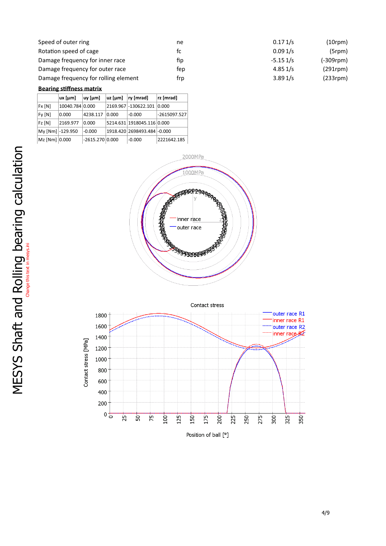| Speed of outer ring                  | ne  | 0.171/s    | $(10$ rpm $)$  |
|--------------------------------------|-----|------------|----------------|
| Rotation speed of cage               | tc  | 0.091/s    | (5rm)          |
| Damage frequency for inner race      | fip | $-5.151/s$ | (-309rpm)      |
| Damage frequency for outer race      | tep | 4.851/s    | $(291$ rpm $)$ |
| Damage frequency for rolling element | trp | 3.891/s    | $(233$ rpm $)$ |

#### **Bearing stiffness matrix**

|               | $ux$ [µm]        | $uy$ [µm]         | $uz$ [µm] | ry[mrad]                     | rz [mrad]      |
|---------------|------------------|-------------------|-----------|------------------------------|----------------|
| Fx[N]         | 10040.784 0.000  |                   |           | 2169.967 - 130622.101 0.000  |                |
| Fy[N]         | 0.000            | 4238.117          | 0.000     | $-0.000$                     | $-2615097.527$ |
| $FZ$ $[N]$    | 2169.977         | 0.000             |           | 5214.631 1918045.116 0.000   |                |
|               | My [Nm] -129.950 | $-0.000$          |           | 1918.420 2698493.484 - 0.000 |                |
| Mz [Nm] 0.000 |                  | $-2615.270 0.000$ |           | $-0.000$                     | 2221642.185    |



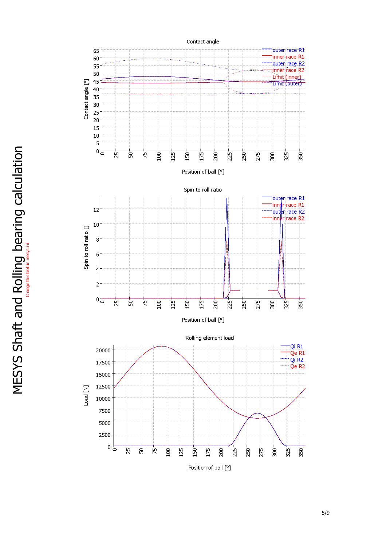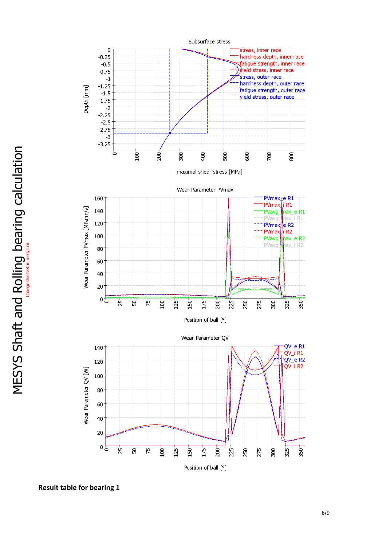

**Result table for bearing 1**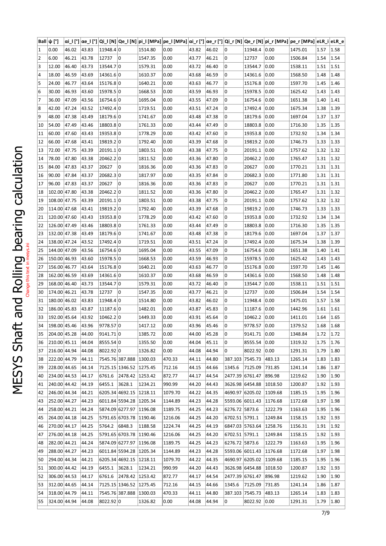|                  |    | Ball $ ψ$ [°]               |             |       | αi_l [°] αe_l [°] Qi_l [N] Qe_l [N] pi_l [MPa] pe_l [MPa] αi_r [°] αe_r [°] Qi_r [N] Qe_r [N] pi_r [MPa] pe_r [MPa] eLR_i eLR_e |         |         |       |       |                 |                 |         |         |               |      |
|------------------|----|-----------------------------|-------------|-------|---------------------------------------------------------------------------------------------------------------------------------|---------|---------|-------|-------|-----------------|-----------------|---------|---------|---------------|------|
|                  | 1  | 0.00                        | 46.02 43.83 |       | 11948.40                                                                                                                        | 1514.80 | 0.00    | 43.82 | 46.02 | 0               | 11948.4 0.00    |         | 1475.01 | $1.57$   1.58 |      |
|                  | 2  | 6.00                        | 46.21       | 43.78 | 12737 0                                                                                                                         | 1547.35 | 0.00    | 43.77 | 46.21 | 0               | 12737           | 0.00    | 1506.84 | 1.54          | 1.54 |
|                  | 3  | 12.00                       | 46.40       | 43.73 | 13544.70                                                                                                                        | 1579.31 | 0.00    | 43.72 | 46.40 | 0               | 13544.7         | 0.00    | 1538.11 | 1.51          | 1.51 |
|                  | 4  | 18.00                       | 46.59       | 43.69 | 14361.6 0                                                                                                                       | 1610.37 | 0.00    | 43.68 | 46.59 | 0               | 14361.6         | 0.00    | 1568.50 | 1.48          | 1.48 |
|                  | 5  | 24.00                       | 46.77       | 43.64 | 15176.80                                                                                                                        | 1640.21 | 0.00    | 43.63 | 46.77 | 0               | 15176.8         | 0.00    | 1597.70 | 1.45          | 1.46 |
|                  | 6  | 30.00                       | 46.93       | 43.60 | 15978.5 0                                                                                                                       | 1668.53 | 0.00    | 43.59 | 46.93 | 0               | 15978.5         | 0.00    | 1625.42 | 1.43          | 1.43 |
|                  |    | 36.00                       | 47.09       | 43.56 | 16754.6 0                                                                                                                       | 1695.04 | 0.00    | 43.55 | 47.09 | 0               | 16754.6         | 0.00    | 1651.38 | 1.40          | 1.41 |
|                  | 8  | 42.00                       | 47.24       | 43.52 | 17492.40                                                                                                                        | 1719.51 | 0.00    | 43.51 | 47.24 | 0               | 17492.4         | 0.00    | 1675.34 | 1.38          | 1.39 |
|                  | 9  | 48.00                       | 47.38       | 43.49 | 18179.6 0                                                                                                                       | 1741.67 | 0.00    | 43.48 | 47.38 | 0               | 18179.6         | 0.00    | 1697.04 | 1.37          | 1.37 |
|                  | 10 | 54.00                       | 47.49       | 43.46 | 18803.80                                                                                                                        | 1761.33 | 0.00    | 43.44 | 47.49 | 0               | 18803.8         | 0.00    | 1716.30 | 1.35          | 1.35 |
|                  | 11 | 60.00                       | 47.60       | 43.43 | 19353.80                                                                                                                        | 1778.29 | 0.00    | 43.42 | 47.60 | 0               | 19353.8         | 0.00    | 1732.92 | 1.34          | 1.34 |
|                  | 12 | 66.00                       | 47.68       | 43.41 | 19819.2 0                                                                                                                       | 1792.40 | 0.00    | 43.39 | 47.68 | 0               | 19819.2         | 0.00    | 1746.73 | 1.33          | 1.33 |
|                  | 13 | 72.00                       | 47.75 43.39 |       | 20191.10                                                                                                                        | 1803.51 | 0.00    | 43.38 | 47.75 | 0               | 20191.1         | 0.00    | 1757.62 | 1.32          | 1.32 |
|                  | 14 | 78.00                       | 47.80       | 43.38 | 20462.20                                                                                                                        | 1811.52 | 0.00    | 43.36 | 47.80 | 0               | 20462.2         | 0.00    | 1765.47 | 1.31          | 1.32 |
|                  | 15 | 84.00                       | 47.83       | 43.37 | 20627   0                                                                                                                       | 1816.36 | 0.00    | 43.36 | 47.83 | 0               | 20627           | 0.00    | 1770.21 | 1.31          | 1.31 |
|                  | 16 | 90.00                       | 47.84       | 43.37 | 20682.30                                                                                                                        | 1817.97 | 0.00    | 43.35 | 47.84 | 0               | 20682.3         | 0.00    | 1771.80 | 1.31          | 1.31 |
|                  | 17 | 96.00                       | 47.83       | 43.37 | 20627 0                                                                                                                         | 1816.36 | 0.00    | 43.36 | 47.83 | 0               | 20627           | 0.00    | 1770.21 | 1.31          | 1.31 |
|                  | 18 | 102.00 47.80                |             | 43.38 | 20462.20                                                                                                                        | 1811.52 | 0.00    | 43.36 | 47.80 | 0               | 20462.2         | 0.00    | 1765.47 | 1.31          | 1.32 |
|                  | 19 | 108.00 47.75                |             | 43.39 | $20191.1$ 0                                                                                                                     | 1803.51 | 0.00    | 43.38 | 47.75 | 0               | 20191.1         | 0.00    | 1757.62 | 1.32          | 1.32 |
|                  | 20 | 114.00 47.68                |             | 43.41 | 19819.20                                                                                                                        | 1792.40 | 0.00    | 43.39 | 47.68 | 0               | 19819.2         | 0.00    | 1746.73 | 1.33          | 1.33 |
|                  | 21 | 120.00 47.60                |             | 43.43 | 19353.80                                                                                                                        | 1778.29 | 0.00    | 43.42 | 47.60 | 0               | 19353.8         | 0.00    | 1732.92 | 1.34          | 1.34 |
|                  | 22 | 126.00 47.49                |             | 43.46 | 18803.80                                                                                                                        | 1761.33 | 0.00    | 43.44 | 47.49 | 0               | 18803.8         | 0.00    | 1716.30 | 1.35          | 1.35 |
| bearing          | 23 | 132.00 47.38                |             | 43.49 | 18179.60                                                                                                                        | 1741.67 | 0.00    | 43.48 | 47.38 | 0               | 18179.6         | 0.00    | 1697.04 | 1.37          | 1.37 |
|                  | 24 | 138.00 47.24                |             | 43.52 | 17492.4 0                                                                                                                       | 1719.51 | 0.00    | 43.51 | 47.24 | 0               | 17492.4         | 0.00    | 1675.34 | 1.38          | 1.39 |
| esys.ini         | 25 | 144.00 47.09                |             | 43.56 | 16754.6 0                                                                                                                       | 1695.04 | 0.00    | 43.55 | 47.09 | 0               | 16754.6         | 0.00    | 1651.38 | 1.40          | 1.41 |
|                  | 26 | 150.00 46.93                |             | 43.60 | 15978.5 0                                                                                                                       | 1668.53 | 0.00    | 43.59 | 46.93 | 0               | 15978.5         | 0.00    | 1625.42 | 1.43          | 1.43 |
|                  | 27 | 156.00 46.77                |             | 43.64 | 15176.80                                                                                                                        | 1640.21 | 0.00    | 43.63 | 46.77 | 0               | 15176.8         | 0.00    | 1597.70 | 1.45          | 1.46 |
|                  | 28 | 162.00 46.59                |             | 43.69 | 14361.6 0                                                                                                                       | 1610.37 | 0.00    | 43.68 | 46.59 | 0               | 14361.6         | 0.00    | 1568.50 | 1.48          | 1.48 |
| Change this text | 29 | 168.00 46.40                |             | 43.73 | 13544.70                                                                                                                        | 1579.31 | 0.00    | 43.72 | 46.40 | 0               | 13544.7         | 0.00    | 1538.11 | 1.51          | 1.51 |
|                  | 30 | 174.00 46.21                |             | 43.78 | 12737   0                                                                                                                       | 1547.35 | 0.00    | 43.77 | 46.21 | 0               | 12737           | 0.00    | 1506.84 | 1.54          | 1.54 |
|                  | 31 | 180.00 46.02                |             | 43.83 | 11948.4 0                                                                                                                       | 1514.80 | 0.00    | 43.82 | 46.02 | 0               | 11948.4         | 0.00    | 1475.01 | 1.57          | 1.58 |
|                  | 32 | 186.00 45.83                |             | 43.87 | 11187.60                                                                                                                        | 1482.01 | 0.00    | 43.87 | 45.83 | 0               | 11187.6         | 0.00    | 1442.96 | 1.61          | 1.61 |
|                  | 33 | 192.00 45.64 43.92          |             |       | 10462.20                                                                                                                        | 1449.33 | 0.00    | 43.91 | 45.64 | 0               | 10462.2 0.00    |         | 1411.01 | $1.64$   1.65 |      |
|                  |    | 34   198.00   45.46   43.96 |             |       | 9778.57 0                                                                                                                       | 1417.12 | 0.00    | 43.96 | 45.46 | $\overline{0}$  | 9778.57 0.00    |         | 1379.52 | 1.68 1.68     |      |
|                  | 35 | 204.00 45.28 44.00          |             |       | 9141.71 0                                                                                                                       | 1385.72 | 0.00    | 44.00 | 45.28 | 0               | 9141.71 0.00    |         | 1348.84 | $1.72$   1.72 |      |
|                  | 36 | 210.00 45.11 44.04          |             |       | 8555.54 0                                                                                                                       | 1355.50 | 0.00    | 44.04 | 45.11 | 0               | 8555.54 0.00    |         | 1319.32 | 1.75          | 1.76 |
|                  | 37 | 216.00 44.94                |             | 44.08 | 8022.92 0                                                                                                                       | 1326.82 | 0.00    | 44.08 | 44.94 | 0               | 8022.92 0.00    |         | 1291.31 | 1.79          | 1.80 |
|                  | 38 | 222.00 44.79                |             | 44.11 | 7545.76 387.888 1300.03                                                                                                         |         | 470.33  | 44.11 | 44.80 | 387.103 7545.73 |                 | 483.13  | 1265.14 | 1.83          | 1.83 |
|                  | 39 | 228.00 44.65 44.14          |             |       | 7125.15 1346.52 1275.45                                                                                                         |         | 712.16  | 44.15 | 44.66 | 1345.6          | 7125.09         | 731.85  | 1241.14 | $1.86$ 1.87   |      |
|                  | 40 | 234.00 44.53 44.17          |             |       | 6761.6 2478.42 1253.42                                                                                                          |         | 872.77  | 44.17 | 44.54 | 2477.39 6761.47 |                 | 896.98  | 1219.62 | $1.90$   1.90 |      |
|                  | 41 | 240.00 44.42                |             | 44.19 | 6455.1 3628.1                                                                                                                   | 1234.21 | 990.99  | 44.20 | 44.43 | 3626.98 6454.88 |                 | 1018.50 | 1200.87 | 1.92          | 1.93 |
|                  | 42 | 246.00 44.34                |             | 44.21 | 6205.34 4692.15 1218.11                                                                                                         |         | 1079.70 | 44.22 | 44.35 | 4690.97 6205.02 |                 | 1109.68 | 1185.15 | 1.95          | 1.96 |
|                  | 43 | 252.00 44.27                |             | 44.23 | 6011.84 5594.28 1205.34                                                                                                         |         | 1144.89 | 44.23 | 44.28 | 5593.06 6011.43 |                 | 1176.68 | 1172.68 | 1.97          | 1.98 |
|                  | 44 | 258.00 44.21                |             | 44.24 | 5874.09 6277.97 1196.08                                                                                                         |         | 1189.75 | 44.25 | 44.23 | 6276.72 5873.6  |                 | 1222.79 | 1163.63 | 1.95          | 1.96 |
|                  | 45 | 264.00 44.18 44.25          |             |       | 5791.65 6703.78 1190.46                                                                                                         |         | 1216.06 | 44.25 | 44.20 | 6702.51 5791.1  |                 | 1249.84 | 1158.15 | 1.92   1.93   |      |
|                  | 46 | 270.00 44.17 44.25          |             |       | 5764.2 6848.3 1188.58                                                                                                           |         | 1224.74 | 44.25 | 44.19 | 6847.03 5763.64 |                 | 1258.76 | 1156.31 | 1.91   1.92   |      |
|                  | 47 | 276.00 44.18 44.25          |             |       | 5791.65 6703.78 1190.46                                                                                                         |         | 1216.06 | 44.25 | 44.20 | 6702.51 5791.1  |                 | 1249.84 | 1158.15 | $1.92$   1.93 |      |
|                  | 48 | 282.00 44.21                |             | 44.24 | 5874.09 6277.97 1196.08                                                                                                         |         | 1189.75 | 44.25 | 44.23 | 6276.72 5873.6  |                 | 1222.79 | 1163.63 | 1.95          | 1.96 |
|                  | 49 | 288.00 44.27                |             | 44.23 | 6011.84 5594.28 1205.34                                                                                                         |         | 1144.89 | 44.23 | 44.28 | 5593.06 6011.43 |                 | 1176.68 | 1172.68 | 1.97          | 1.98 |
|                  | 50 | 294.00 44.34                |             | 44.21 | 6205.34 4692.15 1218.11                                                                                                         |         | 1079.70 | 44.22 | 44.35 |                 | 4690.97 6205.02 | 1109.68 | 1185.15 | 1.95          | 1.96 |
|                  | 51 | 300.00 44.42                |             | 44.19 | 6455.1 3628.1                                                                                                                   | 1234.21 | 990.99  | 44.20 | 44.43 | 3626.98 6454.88 |                 | 1018.50 | 1200.87 | 1.92          | 1.93 |
|                  | 52 | 306.00 44.53 44.17          |             |       | 6761.6 2478.42 1253.42                                                                                                          |         | 872.77  | 44.17 | 44.54 | 2477.39 6761.47 |                 | 896.98  | 1219.62 | 1.90          | 1.90 |
|                  | 53 | 312.00 44.65 44.14          |             |       | 7125.15 1346.52 1275.45                                                                                                         |         | 712.16  | 44.15 | 44.66 | 1345.6          | 7125.09         | 731.85  | 1241.14 | 1.86          | 1.87 |
|                  | 54 | 318.00 44.79 44.11          |             |       | 7545.76 387.888 1300.03                                                                                                         |         | 470.33  | 44.11 | 44.80 | 387.103 7545.73 |                 | 483.13  | 1265.14 | $1.83$   1.83 |      |
|                  | 55 | 324.00 44.94 44.08          |             |       | 8022.92 0                                                                                                                       | 1326.82 | 0.00    | 44.08 | 44.94 | 0               | 8022.92 0.00    |         | 1291.31 | 1.79 1.80     |      |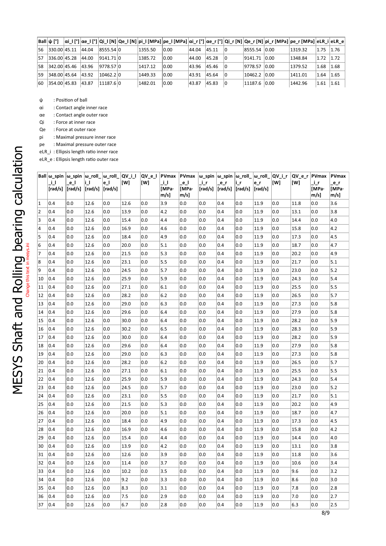| $Ball$ ψ [°] |  |                                           |         |      |       |             |                |                | $ \alpha $ [°] $ \alpha$ e_l [°] $ Q $ [N] $ Q$ e_l [N] $ p $ [MPa] $ p$ e_l [MPa] $ \alpha $ [°] $ \alpha$ e_r [°] $ Q $ [N] $ Q$ e_r [N] $ p $ [MPa] $ p $ [MPa] $ eR $ i el $R$ e |               |  |
|--------------|--|-------------------------------------------|---------|------|-------|-------------|----------------|----------------|--------------------------------------------------------------------------------------------------------------------------------------------------------------------------------------|---------------|--|
|              |  | 56   330.00   45.11   44.04   8555.54   0 | 1355.50 | 0.00 | 44.04 | $ 45.11 $ 0 |                | 8555.54 0.00   | 1319.32                                                                                                                                                                              | $1.75$ 1.76   |  |
|              |  | $ 57 $ 336.00 45.28 44.00 9141.71 0       | 1385.72 | 0.00 | 44.00 | 45.28       | $\Box$         | 9141.71 0.00   | 1348.84                                                                                                                                                                              | $1.72$ 1.72   |  |
|              |  | 58   342.00   45.46   43.96   9778.57   0 | 1417.12 | 0.00 | 43.96 | 45.46 0     |                | 9778.57   0.00 | 1379.52                                                                                                                                                                              | 1.68 1.68     |  |
|              |  | $ 59 $ 348.00 45.64 43.92 10462.2 0       | 1449.33 | 0.00 | 43.91 | 45.64       | $\overline{0}$ | 10462.2 0.00   | 1411.01                                                                                                                                                                              | $1.64$   1.65 |  |
|              |  | $ 60 $ 354.00 45.83 43.87 11187.6 0       | 1482.01 | 0.00 | 43.87 | 45.83 0     |                | $11187.6$ 0.00 | 1442.96                                                                                                                                                                              | $1.61$ 1.61   |  |

ψ : Position of ball

αi : Contactangle innerrace

αe : Contactangle outer race

Qi : Force at inner race

Qe : Force at outer race

pi : Maximal pressure inner race

pe : Maximal pressure outer race

eLR\_i : Ellipsis length ratio inner race  $\sum_{e \in R_{\text{e}} \in \text{Ellipsis length ratio outer race}}$ 

|                                   | Ball $\omega$ _spin $\omega$ _spin $\omega$ _roll_ $\omega$ _roll_ $\Omega$ V_i_l<br>ΠJ | e l<br>$\lceil \text{rad/s} \rceil \lceil \text{rad/s} \rceil \lceil \text{rad/s} \rceil \lceil \text{rad/s} \rceil$ | i I      | e_l | [W]  | [W] | _i_l<br>[MPa·<br>$m/s$ ] | _e_l<br>[MPa·<br>$m/s$ ] | _i_r | $e_r$<br>$\lceil \text{rad/s} \rceil \lceil \text{rad/s} \rceil \lceil \text{rad/s} \rceil \lceil \text{rad/s} \rceil$ | i_r | e_r  | $ {\textsf{QV}}_{\textsf{L}}{\textsf{e}}_{\textsf{L}} $ PVmax $ {\textsf{w}}_{\textsf{L}}{\textsf{spin}} $ $ {\textsf{w}}_{\textsf{L}}{\textsf{spin}} $ $ {\textsf{w}}_{\textsf{L}}{\textsf{roll}}_{\textsf{L}} $ $ {\textsf{QV}}_{\textsf{L}}{\textsf{L}}_{\textsf{L}} $ $ {\textsf{QV}}_{\textsf{L}}{\textsf{e}}_{\textsf{L}} $ $ {\textsf{PV}}$ max<br>[W] | [W]  | _i_r<br>[MPa·<br>m/s] | PVmax<br>$e_r$<br>[MPa·<br>m/s] |
|-----------------------------------|-----------------------------------------------------------------------------------------|----------------------------------------------------------------------------------------------------------------------|----------|-----|------|-----|--------------------------|--------------------------|------|------------------------------------------------------------------------------------------------------------------------|-----|------|---------------------------------------------------------------------------------------------------------------------------------------------------------------------------------------------------------------------------------------------------------------------------------------------------------------------------------------------------------------|------|-----------------------|---------------------------------|
| $\vert$ 1                         | 0.4                                                                                     | 0.0                                                                                                                  | 12.6     | 0.0 | 12.6 | 0.0 | 3.9                      | 0.0                      | 0.0  | 0.4                                                                                                                    | 0.0 | 11.9 | 0.0                                                                                                                                                                                                                                                                                                                                                           | 11.8 | 0.0                   | 3.6                             |
| 2                                 | 0.4                                                                                     | 0.0                                                                                                                  | 12.6     | 0.0 | 13.9 | 0.0 | 4.2                      | 0.0                      | 0.0  | 0.4                                                                                                                    | 0.0 | 11.9 | 0.0                                                                                                                                                                                                                                                                                                                                                           | 13.1 | 0.0                   | 3.8                             |
| 3                                 | 0.4                                                                                     | 0.0                                                                                                                  | 12.6     | 0.0 | 15.4 | 0.0 | 4.4                      | 0.0                      | 0.0  | 0.4                                                                                                                    | 0.0 | 11.9 | 0.0                                                                                                                                                                                                                                                                                                                                                           | 14.4 | 0.0                   | 4.0                             |
| 4                                 | 0.4                                                                                     | 0.0                                                                                                                  | 12.6     | 0.0 | 16.9 | 0.0 | 4.6                      | 0.0                      | 0.0  | 0.4                                                                                                                    | 0.0 | 11.9 | 0.0                                                                                                                                                                                                                                                                                                                                                           | 15.8 | 0.0                   | 4.2                             |
| 5                                 | 0.4                                                                                     | 0.0                                                                                                                  | 12.6     | 0.0 | 18.4 | 0.0 | 4.9                      | 0.0                      | 0.0  | 0.4                                                                                                                    | 0.0 | 11.9 | 0.0                                                                                                                                                                                                                                                                                                                                                           | 17.3 | 0.0                   | 4.5                             |
| 6<br>Change this text in mesys.in | 0.4                                                                                     | 0.0                                                                                                                  | 12.6     | 0.0 | 20.0 | 0.0 | 5.1                      | 0.0                      | 0.0  | 0.4                                                                                                                    | 0.0 | 11.9 | 0.0                                                                                                                                                                                                                                                                                                                                                           | 18.7 | 0.0                   | 4.7                             |
| 7                                 | 0.4                                                                                     | 0.0                                                                                                                  | 12.6     | 0.0 | 21.5 | 0.0 | 5.3                      | 0.0                      | 0.0  | 0.4                                                                                                                    | 0.0 | 11.9 | 0.0                                                                                                                                                                                                                                                                                                                                                           | 20.2 | 0.0                   | 4.9                             |
| 8                                 | 0.4                                                                                     | 0.0                                                                                                                  | 12.6     | 0.0 | 23.1 | 0.0 | 5.5                      | 0.0                      | 0.0  | 0.4                                                                                                                    | 0.0 | 11.9 | 0.0                                                                                                                                                                                                                                                                                                                                                           | 21.7 | 0.0                   | 5.1                             |
| 9                                 | 0.4                                                                                     | 0.0                                                                                                                  | 12.6     | 0.0 | 24.5 | 0.0 | 5.7                      | 0.0                      | 0.0  | 0.4                                                                                                                    | 0.0 | 11.9 | 0.0                                                                                                                                                                                                                                                                                                                                                           | 23.0 | 0.0                   | 5.2                             |
| 10                                | 0.4                                                                                     | 0.0                                                                                                                  | 12.6     | 0.0 | 25.9 | 0.0 | 5.9                      | 0.0                      | 0.0  | 0.4                                                                                                                    | 0.0 | 11.9 | 0.0                                                                                                                                                                                                                                                                                                                                                           | 24.3 | 0.0                   | 5.4                             |
| 11                                | 0.4                                                                                     | 0.0                                                                                                                  | 12.6     | 0.0 | 27.1 | 0.0 | 6.1                      | 0.0                      | 0.0  | 0.4                                                                                                                    | 0.0 | 11.9 | 0.0                                                                                                                                                                                                                                                                                                                                                           | 25.5 | 0.0                   | 5.5                             |
| 12                                | 0.4                                                                                     | 0.0                                                                                                                  | 12.6     | 0.0 | 28.2 | 0.0 | 6.2                      | 0.0                      | 0.0  | 0.4                                                                                                                    | 0.0 | 11.9 | 0.0                                                                                                                                                                                                                                                                                                                                                           | 26.5 | 0.0                   | 5.7                             |
| 13                                | 0.4                                                                                     | 0.0                                                                                                                  | 12.6     | 0.0 | 29.0 | 0.0 | 6.3                      | 0.0                      | 0.0  | 0.4                                                                                                                    | 0.0 | 11.9 | 0.0                                                                                                                                                                                                                                                                                                                                                           | 27.3 | 0.0                   | 5.8                             |
| 14                                | 0.4                                                                                     | 0.0                                                                                                                  | $12.6\,$ | 0.0 | 29.6 | 0.0 | 6.4                      | 0.0                      | 0.0  | 0.4                                                                                                                    | 0.0 | 11.9 | 0.0                                                                                                                                                                                                                                                                                                                                                           | 27.9 | 0.0                   | 5.8                             |
| 15                                | 0.4                                                                                     | 0.0                                                                                                                  | 12.6     | 0.0 | 30.0 | 0.0 | 6.4                      | 0.0                      | 0.0  | 0.4                                                                                                                    | 0.0 | 11.9 | 0.0                                                                                                                                                                                                                                                                                                                                                           | 28.2 | 0.0                   | 5.9                             |
| 16                                | 0.4                                                                                     | 0.0                                                                                                                  | 12.6     | 0.0 | 30.2 | 0.0 | 6.5                      | 0.0                      | 0.0  | 0.4                                                                                                                    | 0.0 | 11.9 | 0.0                                                                                                                                                                                                                                                                                                                                                           | 28.3 | 0.0                   | 5.9                             |
| 17                                | 0.4                                                                                     | 0.0                                                                                                                  | 12.6     | 0.0 | 30.0 | 0.0 | 6.4                      | 0.0                      | 0.0  | 0.4                                                                                                                    | 0.0 | 11.9 | 0.0                                                                                                                                                                                                                                                                                                                                                           | 28.2 | 0.0                   | 5.9                             |
| 18                                | 0.4                                                                                     | 0.0                                                                                                                  | 12.6     | 0.0 | 29.6 | 0.0 | 6.4                      | 0.0                      | 0.0  | 0.4                                                                                                                    | 0.0 | 11.9 | 0.0                                                                                                                                                                                                                                                                                                                                                           | 27.9 | 0.0                   | 5.8                             |
| 19                                | 0.4                                                                                     | 0.0                                                                                                                  | 12.6     | 0.0 | 29.0 | 0.0 | 6.3                      | 0.0                      | 0.0  | 0.4                                                                                                                    | 0.0 | 11.9 | 0.0                                                                                                                                                                                                                                                                                                                                                           | 27.3 | 0.0                   | 5.8                             |
| 20                                | 0.4                                                                                     | 0.0                                                                                                                  | 12.6     | 0.0 | 28.2 | 0.0 | 6.2                      | 0.0                      | 0.0  | 0.4                                                                                                                    | 0.0 | 11.9 | 0.0                                                                                                                                                                                                                                                                                                                                                           | 26.5 | 0.0                   | 5.7                             |
| 21                                | 0.4                                                                                     | 0.0                                                                                                                  | 12.6     | 0.0 | 27.1 | 0.0 | 6.1                      | 0.0                      | 0.0  | 0.4                                                                                                                    | 0.0 | 11.9 | 0.0                                                                                                                                                                                                                                                                                                                                                           | 25.5 | 0.0                   | 5.5                             |
| 22                                | 0.4                                                                                     | 0.0                                                                                                                  | 12.6     | 0.0 | 25.9 | 0.0 | 5.9                      | 0.0                      | 0.0  | 0.4                                                                                                                    | 0.0 | 11.9 | 0.0                                                                                                                                                                                                                                                                                                                                                           | 24.3 | 0.0                   | 5.4                             |
| 23                                | 0.4                                                                                     | 0.0                                                                                                                  | 12.6     | 0.0 | 24.5 | 0.0 | 5.7                      | 0.0                      | 0.0  | 0.4                                                                                                                    | 0.0 | 11.9 | 0.0                                                                                                                                                                                                                                                                                                                                                           | 23.0 | 0.0                   | 5.2                             |
| 24                                | 0.4                                                                                     | 0.0                                                                                                                  | 12.6     | 0.0 | 23.1 | 0.0 | 5.5                      | 0.0                      | 0.0  | 0.4                                                                                                                    | 0.0 | 11.9 | 0.0                                                                                                                                                                                                                                                                                                                                                           | 21.7 | 0.0                   | 5.1                             |
| 25                                | 0.4                                                                                     | 0.0                                                                                                                  | 12.6     | 0.0 | 21.5 | 0.0 | 5.3                      | 0.0                      | 0.0  | 0.4                                                                                                                    | 0.0 | 11.9 | 0.0                                                                                                                                                                                                                                                                                                                                                           | 20.2 | 0.0                   | 4.9                             |
| 26                                | 0.4                                                                                     | 0.0                                                                                                                  | 12.6     | 0.0 | 20.0 | 0.0 | 5.1                      | 0.0                      | 0.0  | 0.4                                                                                                                    | 0.0 | 11.9 | 0.0                                                                                                                                                                                                                                                                                                                                                           | 18.7 | 0.0                   | 4.7                             |
| 27                                | 0.4                                                                                     | 0.0                                                                                                                  | 12.6     | 0.0 | 18.4 | 0.0 | 4.9                      | 0.0                      | 0.0  | 0.4                                                                                                                    | 0.0 | 11.9 | 0.0                                                                                                                                                                                                                                                                                                                                                           | 17.3 | 0.0                   | 4.5                             |
| 28                                | 0.4                                                                                     | 0.0                                                                                                                  | 12.6     | 0.0 | 16.9 | 0.0 | 4.6                      | 0.0                      | 0.0  | 0.4                                                                                                                    | 0.0 | 11.9 | 0.0                                                                                                                                                                                                                                                                                                                                                           | 15.8 | 0.0                   | 4.2                             |
| 29                                | 0.4                                                                                     | 0.0                                                                                                                  | 12.6     | 0.0 | 15.4 | 0.0 | 4.4                      | 0.0                      | 0.0  | 0.4                                                                                                                    | 0.0 | 11.9 | 0.0                                                                                                                                                                                                                                                                                                                                                           | 14.4 | 0.0                   | 4.0                             |
| 30                                | 0.4                                                                                     | 0.0                                                                                                                  | 12.6     | 0.0 | 13.9 | 0.0 | 4.2                      | 0.0                      | 0.0  | 0.4                                                                                                                    | 0.0 | 11.9 | 0.0                                                                                                                                                                                                                                                                                                                                                           | 13.1 | 0.0                   | 3.8                             |
| 31                                | 0.4                                                                                     | 0.0                                                                                                                  | 12.6     | 0.0 | 12.6 | 0.0 | 3.9                      | 0.0                      | 0.0  | 0.4                                                                                                                    | 0.0 | 11.9 | 0.0                                                                                                                                                                                                                                                                                                                                                           | 11.8 | 0.0                   | 3.6                             |
| 32                                | 0.4                                                                                     | 0.0                                                                                                                  | 12.6     | 0.0 | 11.4 | 0.0 | 3.7                      | 0.0                      | 0.0  | 0.4                                                                                                                    | 0.0 | 11.9 | 0.0                                                                                                                                                                                                                                                                                                                                                           | 10.6 | 0.0                   | 3.4                             |
| 33                                | 0.4                                                                                     | 0.0                                                                                                                  | 12.6     | 0.0 | 10.2 | 0.0 | 3.5                      | 0.0                      | 0.0  | 0.4                                                                                                                    | 0.0 | 11.9 | 0.0                                                                                                                                                                                                                                                                                                                                                           | 9.6  | 0.0                   | 3.2                             |
| 34                                | 0.4                                                                                     | 0.0                                                                                                                  | 12.6     | 0.0 | 9.2  | 0.0 | 3.3                      | 0.0                      | 0.0  | 0.4                                                                                                                    | 0.0 | 11.9 | 0.0                                                                                                                                                                                                                                                                                                                                                           | 8.6  | 0.0                   | 3.0                             |
| 35                                | 0.4                                                                                     | 0.0                                                                                                                  | 12.6     | 0.0 | 8.3  | 0.0 | 3.1                      | 0.0                      | 0.0  | 0.4                                                                                                                    | 0.0 | 11.9 | 0.0                                                                                                                                                                                                                                                                                                                                                           | 7.8  | 0.0                   | 2.8                             |
| 36                                | 0.4                                                                                     | 0.0                                                                                                                  | 12.6     | 0.0 | 7.5  | 0.0 | 2.9                      | 0.0                      | 0.0  | 0.4                                                                                                                    | 0.0 | 11.9 | 0.0                                                                                                                                                                                                                                                                                                                                                           | 7.0  | 0.0                   | 2.7                             |
| 37                                | 0.4                                                                                     | 0.0                                                                                                                  | 12.6     | 0.0 | 6.7  | 0.0 | 2.8                      | 0.0                      | 0.0  | 0.4                                                                                                                    | 0.0 | 11.9 | 0.0                                                                                                                                                                                                                                                                                                                                                           | 6.3  | 0.0                   | 2.5                             |